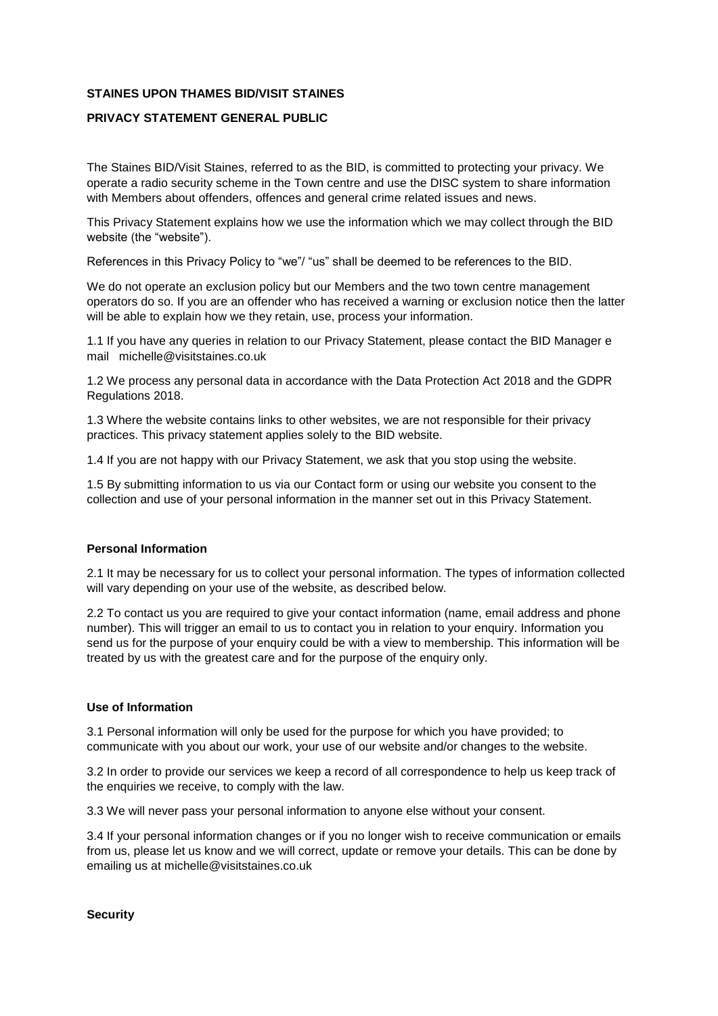## **STAINES UPON THAMES BID/VISIT STAINES**

## **PRIVACY STATEMENT GENERAL PUBLIC**

The Staines BID/Visit Staines, referred to as the BID, is committed to protecting your privacy. We operate a radio security scheme in the Town centre and use the DISC system to share information with Members about offenders, offences and general crime related issues and news.

This Privacy Statement explains how we use the information which we may collect through the BID website (the "website").

References in this Privacy Policy to "we"/ "us" shall be deemed to be references to the BID.

We do not operate an exclusion policy but our Members and the two town centre management operators do so. If you are an offender who has received a warning or exclusion notice then the latter will be able to explain how we they retain, use, process your information.

1.1 If you have any queries in relation to our Privacy Statement, please contact the BID Manager e mail michelle@visitstaines.co.uk

1.2 We process any personal data in accordance with the Data Protection Act 2018 and the GDPR Regulations 2018.

1.3 Where the website contains links to other websites, we are not responsible for their privacy practices. This privacy statement applies solely to the BID website.

1.4 If you are not happy with our Privacy Statement, we ask that you stop using the website.

1.5 By submitting information to us via our Contact form or using our website you consent to the collection and use of your personal information in the manner set out in this Privacy Statement.

## **Personal Information**

2.1 It may be necessary for us to collect your personal information. The types of information collected will vary depending on your use of the website, as described below.

2.2 To contact us you are required to give your contact information (name, email address and phone number). This will trigger an email to us to contact you in relation to your enquiry. Information you send us for the purpose of your enquiry could be with a view to membership. This information will be treated by us with the greatest care and for the purpose of the enquiry only.

## **Use of Information**

3.1 Personal information will only be used for the purpose for which you have provided; to communicate with you about our work, your use of our website and/or changes to the website.

3.2 In order to provide our services we keep a record of all correspondence to help us keep track of the enquiries we receive, to comply with the law.

3.3 We will never pass your personal information to anyone else without your consent.

3.4 If your personal information changes or if you no longer wish to receive communication or emails from us, please let us know and we will correct, update or remove your details. This can be done by emailing us at michelle@visitstaines.co.uk

**Security**